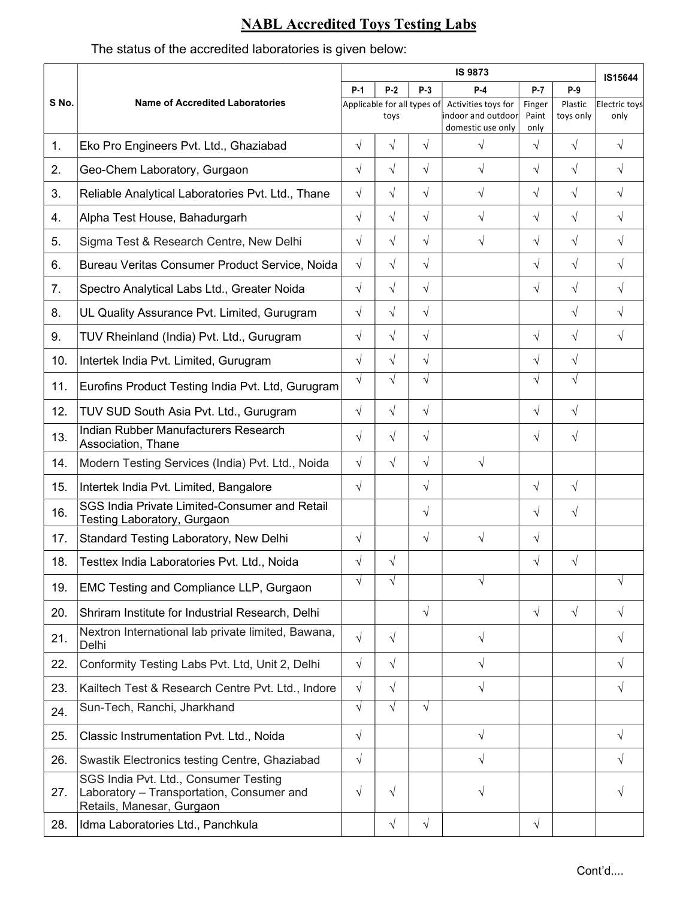## NABL Accredited Toys Testing Labs

## The status of the accredited laboratories is given below:

|       | <b>Name of Accredited Laboratories</b>                                                                          |                             |            |            | <b>IS 9873</b>                                                 |                         |                      |                       |  |
|-------|-----------------------------------------------------------------------------------------------------------------|-----------------------------|------------|------------|----------------------------------------------------------------|-------------------------|----------------------|-----------------------|--|
| S No. |                                                                                                                 | $P-1$                       | $P-2$      | $P-3$      | $P-4$                                                          | $P-7$                   | $P-9$                | IS15644               |  |
|       |                                                                                                                 | Applicable for all types of | toys       |            | Activities toys for<br>indoor and outdoor<br>domestic use only | Finger<br>Paint<br>only | Plastic<br>toys only | Electric toys<br>only |  |
| 1.    | Eko Pro Engineers Pvt. Ltd., Ghaziabad                                                                          | $\sqrt{}$                   | $\sqrt{ }$ | $\sqrt{ }$ | $\sqrt{ }$                                                     | $\sqrt{ }$              | $\sqrt{}$            | $\sqrt{ }$            |  |
| 2.    | Geo-Chem Laboratory, Gurgaon                                                                                    | $\sqrt{}$                   | $\sqrt{ }$ | $\sqrt{}$  | $\sqrt{ }$                                                     | $\sqrt{}$               | $\sqrt{}$            | $\sqrt{}$             |  |
| 3.    | Reliable Analytical Laboratories Pvt. Ltd., Thane                                                               | $\sqrt{}$                   | $\sqrt{ }$ | $\sqrt{}$  | $\sqrt{}$                                                      | $\sqrt{ }$              | $\sqrt{ }$           | $\sqrt{ }$            |  |
| 4.    | Alpha Test House, Bahadurgarh                                                                                   | $\sqrt{}$                   | $\sqrt{ }$ | $\sqrt{}$  | $\sqrt{}$                                                      | $\sqrt{}$               | $\sqrt{}$            | $\sqrt{ }$            |  |
| 5.    | Sigma Test & Research Centre, New Delhi                                                                         | $\sqrt{ }$                  | $\sqrt{ }$ | $\sqrt{}$  | $\sqrt{}$                                                      | $\sqrt{}$               | $\sqrt{}$            | $\sqrt{ }$            |  |
| 6.    | Bureau Veritas Consumer Product Service, Noida                                                                  | $\sqrt{ }$                  | $\sqrt{ }$ | $\sqrt{}$  |                                                                | $\sqrt{}$               | $\sqrt{ }$           | $\sqrt{ }$            |  |
| 7.    | Spectro Analytical Labs Ltd., Greater Noida                                                                     | $\sqrt{}$                   | $\sqrt{ }$ | $\sqrt{}$  |                                                                | $\sqrt{}$               | $\sqrt{ }$           | $\sqrt{ }$            |  |
| 8.    | UL Quality Assurance Pvt. Limited, Gurugram                                                                     | $\sqrt{}$                   | $\sqrt{ }$ | $\sqrt{}$  |                                                                |                         | $\sqrt{ }$           | $\sqrt{ }$            |  |
| 9.    | TUV Rheinland (India) Pvt. Ltd., Gurugram                                                                       | $\sqrt{}$                   | $\sqrt{ }$ | $\sqrt{}$  |                                                                | $\sqrt{}$               | $\sqrt{ }$           | $\sqrt{ }$            |  |
| 10.   | Intertek India Pvt. Limited, Gurugram                                                                           | $\sqrt{}$                   | $\sqrt{ }$ | $\sqrt{}$  |                                                                | $\sqrt{}$               | $\sqrt{ }$           |                       |  |
| 11.   | Eurofins Product Testing India Pvt. Ltd, Gurugram                                                               | $\sqrt{ }$                  | $\sqrt{ }$ | $\sqrt{ }$ |                                                                | $\sqrt{ }$              | $\sqrt{ }$           |                       |  |
| 12.   | TUV SUD South Asia Pvt. Ltd., Gurugram                                                                          | $\sqrt{}$                   | $\sqrt{ }$ | $\sqrt{}$  |                                                                | $\sqrt{}$               | $\sqrt{ }$           |                       |  |
| 13.   | Indian Rubber Manufacturers Research<br>Association, Thane                                                      | $\sqrt{ }$                  | $\sqrt{ }$ | $\sqrt{ }$ |                                                                | $\sqrt{}$               | $\sqrt{}$            |                       |  |
| 14.   | Modern Testing Services (India) Pvt. Ltd., Noida                                                                | $\sqrt{ }$                  | $\sqrt{ }$ | $\sqrt{}$  | $\sqrt{ }$                                                     |                         |                      |                       |  |
| 15.   | Intertek India Pvt. Limited, Bangalore                                                                          | $\sqrt{}$                   |            | $\sqrt{}$  |                                                                | $\sqrt{ }$              | $\sqrt{ }$           |                       |  |
| 16.   | SGS India Private Limited-Consumer and Retail<br>Testing Laboratory, Gurgaon                                    |                             |            | $\sqrt{}$  |                                                                | $\sqrt{}$               | $\sqrt{ }$           |                       |  |
| 17.   | Standard Testing Laboratory, New Delhi                                                                          | $\sqrt{}$                   |            | $\sqrt{}$  | $\sqrt{ }$                                                     | $\sqrt{}$               |                      |                       |  |
| 18.   | Testtex India Laboratories Pvt. Ltd., Noida                                                                     | $\sqrt{}$                   | $\sqrt{ }$ |            |                                                                | $\sqrt{ }$              | $\sqrt{}$            |                       |  |
| 19.   | EMC Testing and Compliance LLP, Gurgaon                                                                         | $\sqrt{ }$                  | $\sqrt{ }$ |            |                                                                |                         |                      | $\sqrt{ }$            |  |
| 20.   | Shriram Institute for Industrial Research, Delhi                                                                |                             |            | $\sqrt{}$  |                                                                | $\sqrt{}$               | $\sqrt{}$            | $\sqrt{ }$            |  |
| 21.   | Nextron International lab private limited, Bawana,<br>Delhi                                                     | $\sqrt{ }$                  | $\sqrt{ }$ |            | $\sqrt{}$                                                      |                         |                      | $\sqrt{ }$            |  |
| 22.   | Conformity Testing Labs Pvt. Ltd, Unit 2, Delhi                                                                 | $\sqrt{ }$                  | $\sqrt{ }$ |            | $\sqrt{}$                                                      |                         |                      | $\sqrt{ }$            |  |
| 23.   | Kailtech Test & Research Centre Pvt. Ltd., Indore                                                               | $\sqrt{ }$                  | $\sqrt{ }$ |            | $\sqrt{}$                                                      |                         |                      | $\sqrt{}$             |  |
| 24.   | Sun-Tech, Ranchi, Jharkhand                                                                                     | $\sqrt{ }$                  | $\sqrt{ }$ | $\sqrt{}$  |                                                                |                         |                      |                       |  |
| 25.   | Classic Instrumentation Pvt. Ltd., Noida                                                                        | $\sqrt{}$                   |            |            | $\sqrt{}$                                                      |                         |                      | $\sqrt{ }$            |  |
| 26.   | Swastik Electronics testing Centre, Ghaziabad                                                                   | $\sqrt{ }$                  |            |            | $\sqrt{}$                                                      |                         |                      | $\sqrt{ }$            |  |
| 27.   | SGS India Pvt. Ltd., Consumer Testing<br>Laboratory - Transportation, Consumer and<br>Retails, Manesar, Gurgaon | $\sqrt{ }$                  | $\sqrt{ }$ |            | V                                                              |                         |                      | $\sqrt{ }$            |  |
| 28.   | Idma Laboratories Ltd., Panchkula                                                                               |                             | $\sqrt{ }$ | $\sqrt{}$  |                                                                | $\sqrt{}$               |                      |                       |  |